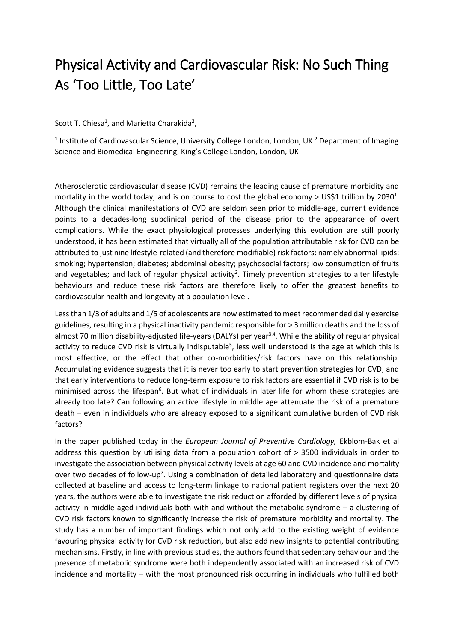## Physical Activity and Cardiovascular Risk: No Such Thing As 'Too Little, Too Late'

Scott T. Chiesa<sup>1</sup>, and Marietta Charakida<sup>2</sup>,

<sup>1</sup> Institute of Cardiovascular Science, University College London, London, UK<sup>2</sup> Department of Imaging Science and Biomedical Engineering, King's College London, London, UK

Atherosclerotic cardiovascular disease (CVD) remains the leading cause of premature morbidity and mortality in the world today, and is on course to cost the global economy > US\$1 trillion by 2030<sup>1</sup>. Although the clinical manifestations of CVD are seldom seen prior to middle-age, current evidence points to a decades-long subclinical period of the disease prior to the appearance of overt complications. While the exact physiological processes underlying this evolution are still poorly understood, it has been estimated that virtually all of the population attributable risk for CVD can be attributed to just nine lifestyle-related (and therefore modifiable) risk factors: namely abnormal lipids; smoking; hypertension; diabetes; abdominal obesity; psychosocial factors; low consumption of fruits and vegetables; and lack of regular physical activity<sup>2</sup>. Timely prevention strategies to alter lifestyle behaviours and reduce these risk factors are therefore likely to offer the greatest benefits to cardiovascular health and longevity at a population level.

Lessthan 1/3 of adults and 1/5 of adolescents are now estimated to meet recommended daily exercise guidelines, resulting in a physical inactivity pandemic responsible for > 3 million deaths and the loss of almost 70 million disability-adjusted life-years (DALYs) per year<sup>3,4</sup>. While the ability of regular physical activity to reduce CVD risk is virtually indisputable<sup>5</sup>, less well understood is the age at which this is most effective, or the effect that other co-morbidities/risk factors have on this relationship. Accumulating evidence suggests that it is never too early to start prevention strategies for CVD, and that early interventions to reduce long-term exposure to risk factors are essential if CVD risk is to be minimised across the lifespan<sup>6</sup>. But what of individuals in later life for whom these strategies are already too late? Can following an active lifestyle in middle age attenuate the risk of a premature death – even in individuals who are already exposed to a significant cumulative burden of CVD risk factors?

In the paper published today in the *European Journal of Preventive Cardiology,* Ekblom-Bak et al address this question by utilising data from a population cohort of > 3500 individuals in order to investigate the association between physical activity levels at age 60 and CVD incidence and mortality over two decades of follow-up<sup>7</sup>. Using a combination of detailed laboratory and questionnaire data collected at baseline and access to long-term linkage to national patient registers over the next 20 years, the authors were able to investigate the risk reduction afforded by different levels of physical activity in middle-aged individuals both with and without the metabolic syndrome – a clustering of CVD risk factors known to significantly increase the risk of premature morbidity and mortality. The study has a number of important findings which not only add to the existing weight of evidence favouring physical activity for CVD risk reduction, but also add new insights to potential contributing mechanisms. Firstly, in line with previous studies, the authors found that sedentary behaviour and the presence of metabolic syndrome were both independently associated with an increased risk of CVD incidence and mortality – with the most pronounced risk occurring in individuals who fulfilled both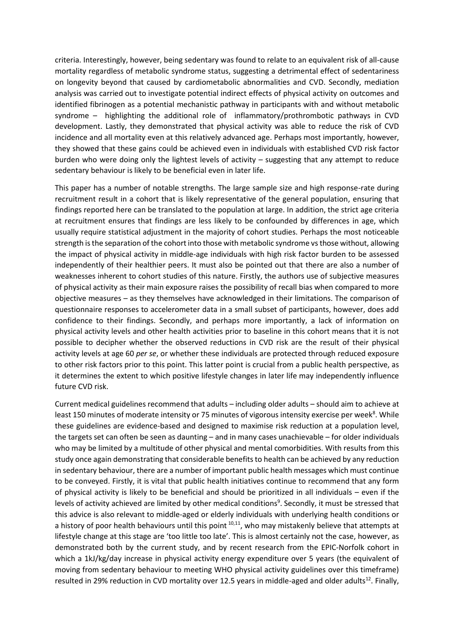criteria. Interestingly, however, being sedentary was found to relate to an equivalent risk of all-cause mortality regardless of metabolic syndrome status, suggesting a detrimental effect of sedentariness on longevity beyond that caused by cardiometabolic abnormalities and CVD. Secondly, mediation analysis was carried out to investigate potential indirect effects of physical activity on outcomes and identified fibrinogen as a potential mechanistic pathway in participants with and without metabolic syndrome – highlighting the additional role of inflammatory/prothrombotic pathways in CVD development. Lastly, they demonstrated that physical activity was able to reduce the risk of CVD incidence and all mortality even at this relatively advanced age. Perhaps most importantly, however, they showed that these gains could be achieved even in individuals with established CVD risk factor burden who were doing only the lightest levels of activity – suggesting that any attempt to reduce sedentary behaviour is likely to be beneficial even in later life.

This paper has a number of notable strengths. The large sample size and high response-rate during recruitment result in a cohort that is likely representative of the general population, ensuring that findings reported here can be translated to the population at large. In addition, the strict age criteria at recruitment ensures that findings are less likely to be confounded by differences in age, which usually require statistical adjustment in the majority of cohort studies. Perhaps the most noticeable strength is the separation of the cohort into those with metabolic syndrome vs those without, allowing the impact of physical activity in middle-age individuals with high risk factor burden to be assessed independently of their healthier peers. It must also be pointed out that there are also a number of weaknesses inherent to cohort studies of this nature. Firstly, the authors use of subjective measures of physical activity as their main exposure raises the possibility of recall bias when compared to more objective measures – as they themselves have acknowledged in their limitations. The comparison of questionnaire responses to accelerometer data in a small subset of participants, however, does add confidence to their findings. Secondly, and perhaps more importantly, a lack of information on physical activity levels and other health activities prior to baseline in this cohort means that it is not possible to decipher whether the observed reductions in CVD risk are the result of their physical activity levels at age 60 *per se*, or whether these individuals are protected through reduced exposure to other risk factors prior to this point. This latter point is crucial from a public health perspective, as it determines the extent to which positive lifestyle changes in later life may independently influence future CVD risk.

Current medical guidelines recommend that adults – including older adults – should aim to achieve at least 150 minutes of moderate intensity or 75 minutes of vigorous intensity exercise per week<sup>8</sup>. While these guidelines are evidence-based and designed to maximise risk reduction at a population level, the targets set can often be seen as daunting – and in many cases unachievable – for older individuals who may be limited by a multitude of other physical and mental comorbidities. With results from this study once again demonstrating that considerable benefits to health can be achieved by any reduction in sedentary behaviour, there are a number of important public health messages which must continue to be conveyed. Firstly, it is vital that public health initiatives continue to recommend that any form of physical activity is likely to be beneficial and should be prioritized in all individuals – even if the levels of activity achieved are limited by other medical conditions<sup>9</sup>. Secondly, it must be stressed that this advice is also relevant to middle-aged or elderly individuals with underlying health conditions or a history of poor health behaviours until this point <sup>10,11</sup>, who may mistakenly believe that attempts at lifestyle change at this stage are 'too little too late'. This is almost certainly not the case, however, as demonstrated both by the current study, and by recent research from the EPIC-Norfolk cohort in which a 1kJ/kg/day increase in physical activity energy expenditure over 5 years (the equivalent of moving from sedentary behaviour to meeting WHO physical activity guidelines over this timeframe) resulted in 29% reduction in CVD mortality over 12.5 years in middle-aged and older adults<sup>12</sup>. Finally,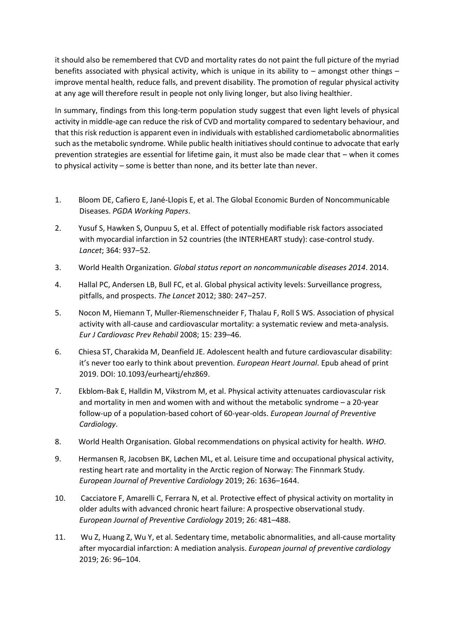it should also be remembered that CVD and mortality rates do not paint the full picture of the myriad benefits associated with physical activity, which is unique in its ability to – amongst other things – improve mental health, reduce falls, and prevent disability. The promotion of regular physical activity at any age will therefore result in people not only living longer, but also living healthier.

In summary, findings from this long-term population study suggest that even light levels of physical activity in middle-age can reduce the risk of CVD and mortality compared to sedentary behaviour, and that this risk reduction is apparent even in individuals with established cardiometabolic abnormalities such as the metabolic syndrome. While public health initiatives should continue to advocate that early prevention strategies are essential for lifetime gain, it must also be made clear that – when it comes to physical activity – some is better than none, and its better late than never.

- 1. Bloom DE, Cafiero E, Jané-Llopis E, et al. The Global Economic Burden of Noncommunicable Diseases. *PGDA Working Papers*.
- 2. Yusuf S, Hawken S, Ounpuu S, et al. Effect of potentially modifiable risk factors associated with myocardial infarction in 52 countries (the INTERHEART study): case-control study. *Lancet*; 364: 937–52.
- 3. World Health Organization. *Global status report on noncommunicable diseases 2014*. 2014.
- 4. Hallal PC, Andersen LB, Bull FC, et al. Global physical activity levels: Surveillance progress, pitfalls, and prospects. *The Lancet* 2012; 380: 247–257.
- 5. Nocon M, Hiemann T, Muller-Riemenschneider F, Thalau F, Roll S WS. Association of physical activity with all-cause and cardiovascular mortality: a systematic review and meta-analysis. *Eur J Cardiovasc Prev Rehabil* 2008; 15: 239–46.
- 6. Chiesa ST, Charakida M, Deanfield JE. Adolescent health and future cardiovascular disability: it's never too early to think about prevention. *European Heart Journal*. Epub ahead of print 2019. DOI: 10.1093/eurheartj/ehz869.
- 7. Ekblom-Bak E, Halldin M, Vikstrom M, et al. Physical activity attenuates cardiovascular risk and mortality in men and women with and without the metabolic syndrome – a 20-year follow-up of a population-based cohort of 60-year-olds. *European Journal of Preventive Cardiology*.
- 8. World Health Organisation. Global recommendations on physical activity for health. *WHO*.
- 9. Hermansen R, Jacobsen BK, Løchen ML, et al. Leisure time and occupational physical activity, resting heart rate and mortality in the Arctic region of Norway: The Finnmark Study. *European Journal of Preventive Cardiology* 2019; 26: 1636–1644.
- 10. Cacciatore F, Amarelli C, Ferrara N, et al. Protective effect of physical activity on mortality in older adults with advanced chronic heart failure: A prospective observational study. *European Journal of Preventive Cardiology* 2019; 26: 481–488.
- 11. Wu Z, Huang Z, Wu Y, et al. Sedentary time, metabolic abnormalities, and all-cause mortality after myocardial infarction: A mediation analysis. *European journal of preventive cardiology* 2019; 26: 96–104.